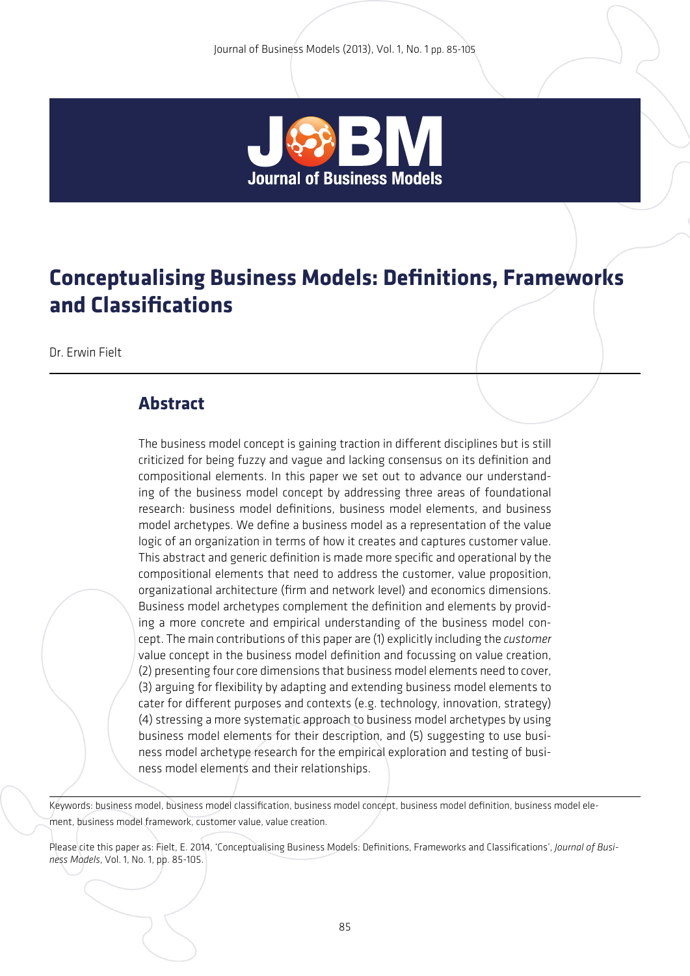

# **Conceptualising Business Models: Definitions, Frameworks and Classifications**

Dr. Erwin Fielt

### **Abstract**

The business model concept is gaining traction in different disciplines but is still criticized for being fuzzy and vague and lacking consensus on its definition and compositional elements. In this paper we set out to advance our understanding of the business model concept by addressing three areas of foundational research: business model definitions, business model elements, and business model archetypes. We define a business model as a representation of the value logic of an organization in terms of how it creates and captures customer value. This abstract and generic definition is made more specific and operational by the compositional elements that need to address the customer, value proposition, organizational architecture (firm and network level) and economics dimensions. Business model archetypes complement the definition and elements by providing a more concrete and empirical understanding of the business model concept. The main contributions of this paper are (1) explicitly including the *customer* value concept in the business model definition and focussing on value creation, (2) presenting four core dimensions that business model elements need to cover, (3) arguing for flexibility by adapting and extending business model elements to cater for different purposes and contexts (e.g. technology, innovation, strategy) (4) stressing a more systematic approach to business model archetypes by using business model elements for their description, and (5) suggesting to use business model archetype research for the empirical exploration and testing of business model elements and their relationships.

Keywords: business model, business model classification, business model concept, business model definition, business model element, business model framework, customer value, value creation.

Please cite this paper as: Fielt, E. 2014, 'Conceptualising Business Models: Definitions, Frameworks and Classifications', *Journal of Business Models*, Vol. 1, No. 1, pp. 85-105.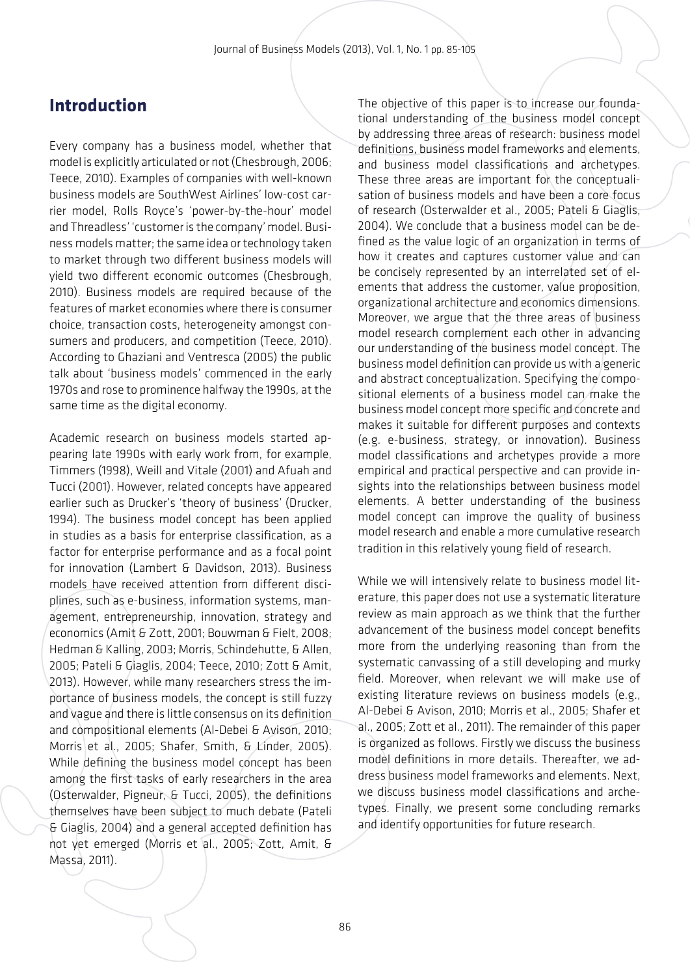### **Introduction**

Every company has a business model, whether that model is explicitly articulated or not (Chesbrough, 2006; Teece, 2010). Examples of companies with well-known business models are SouthWest Airlines' low-cost carrier model, Rolls Royce's 'power-by-the-hour' model and Threadless' 'customer is the company' model. Business models matter; the same idea or technology taken to market through two different business models will yield two different economic outcomes (Chesbrough, 2010). Business models are required because of the features of market economies where there is consumer choice, transaction costs, heterogeneity amongst consumers and producers, and competition (Teece, 2010). According to Ghaziani and Ventresca (2005) the public talk about 'business models' commenced in the early 1970s and rose to prominence halfway the 1990s, at the same time as the digital economy.

Academic research on business models started appearing late 1990s with early work from, for example, Timmers (1998), Weill and Vitale (2001) and Afuah and Tucci (2001). However, related concepts have appeared earlier such as Drucker's 'theory of business' (Drucker, 1994). The business model concept has been applied in studies as a basis for enterprise classification, as a factor for enterprise performance and as a focal point for innovation (Lambert & Davidson, 2013). Business models have received attention from different disciplines, such as e-business, information systems, management, entrepreneurship, innovation, strategy and economics (Amit & Zott, 2001; Bouwman & Fielt, 2008; Hedman & Kalling, 2003; Morris, Schindehutte, & Allen, 2005; Pateli & Giaglis, 2004; Teece, 2010; Zott & Amit, 2013). However, while many researchers stress the importance of business models, the concept is still fuzzy and vague and there is little consensus on its definition and compositional elements (Al-Debei & Avison, 2010; Morris et al., 2005; Shafer, Smith, & Linder, 2005). While defining the business model concept has been among the first tasks of early researchers in the area (Osterwalder, Pigneur, & Tucci, 2005), the definitions themselves have been subject to much debate (Pateli & Giaglis, 2004) and a general accepted definition has not yet emerged (Morris et al., 2005; Zott, Amit, & Massa, 2011).

The objective of this paper is to increase our foundational understanding of the business model concept by addressing three areas of research: business model definitions, business model frameworks and elements, and business model classifications and archetypes. These three areas are important for the conceptualisation of business models and have been a core focus of research (Osterwalder et al., 2005; Pateli & Giaglis, 2004). We conclude that a business model can be defined as the value logic of an organization in terms of how it creates and captures customer value and can be concisely represented by an interrelated set of elements that address the customer, value proposition, organizational architecture and economics dimensions. Moreover, we argue that the three areas of business model research complement each other in advancing our understanding of the business model concept. The business model definition can provide us with a generic and abstract conceptualization. Specifying the compositional elements of a business model can make the business model concept more specific and concrete and makes it suitable for different purposes and contexts (e.g. e-business, strategy, or innovation). Business model classifications and archetypes provide a more empirical and practical perspective and can provide insights into the relationships between business model elements. A better understanding of the business model concept can improve the quality of business model research and enable a more cumulative research tradition in this relatively young field of research.

While we will intensively relate to business model literature, this paper does not use a systematic literature review as main approach as we think that the further advancement of the business model concept benefits more from the underlying reasoning than from the systematic canvassing of a still developing and murky field. Moreover, when relevant we will make use of existing literature reviews on business models (e.g., Al-Debei & Avison, 2010; Morris et al., 2005; Shafer et al., 2005; Zott et al., 2011). The remainder of this paper is organized as follows. Firstly we discuss the business model definitions in more details. Thereafter, we address business model frameworks and elements. Next, we discuss business model classifications and archetypes. Finally, we present some concluding remarks and identify opportunities for future research.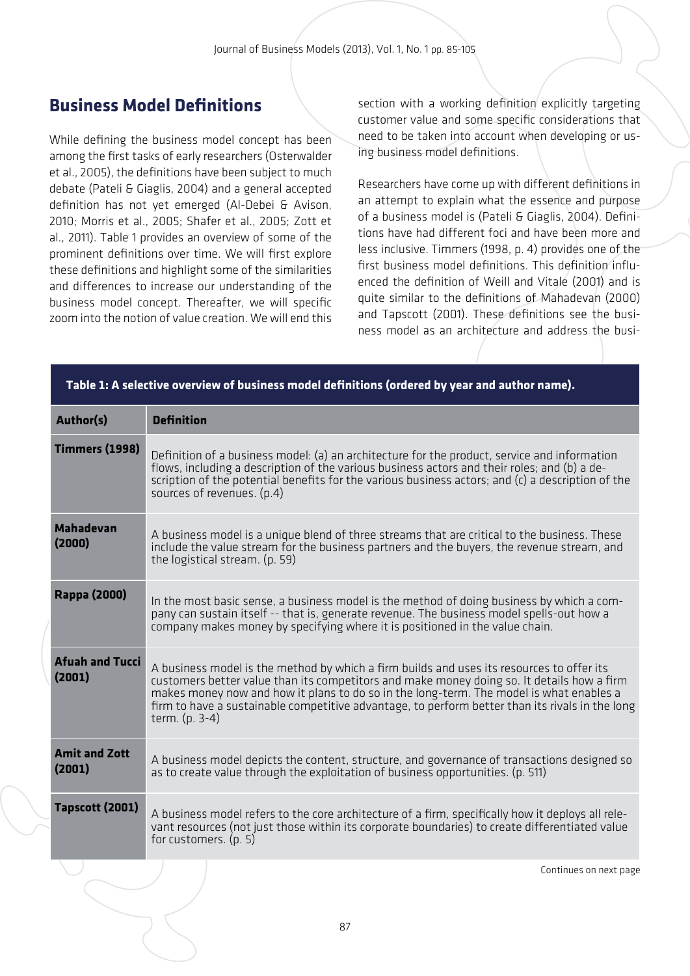## **Business Model Definitions**

While defining the business model concept has been among the first tasks of early researchers (Osterwalder et al., 2005), the definitions have been subject to much debate (Pateli & Giaglis, 2004) and a general accepted definition has not yet emerged (Al-Debei & Avison, 2010; Morris et al., 2005; Shafer et al., 2005; Zott et al., 2011). Table 1 provides an overview of some of the prominent definitions over time. We will first explore these definitions and highlight some of the similarities and differences to increase our understanding of the business model concept. Thereafter, we will specific zoom into the notion of value creation. We will end this

section with a working definition explicitly targeting customer value and some specific considerations that need to be taken into account when developing or using business model definitions.

Researchers have come up with different definitions in an attempt to explain what the essence and purpose of a business model is (Pateli & Giaglis, 2004). Definitions have had different foci and have been more and less inclusive. Timmers (1998, p. 4) provides one of the first business model definitions. This definition influenced the definition of Weill and Vitale (2001) and is quite similar to the definitions of Mahadevan (2000) and Tapscott (2001). These definitions see the business model as an architecture and address the busi-

| <b>Definition</b>                                                                                                                                                                                                                                                                                                                                                                                         |
|-----------------------------------------------------------------------------------------------------------------------------------------------------------------------------------------------------------------------------------------------------------------------------------------------------------------------------------------------------------------------------------------------------------|
| Definition of a business model: (a) an architecture for the product, service and information<br>flows, including a description of the various business actors and their roles; and (b) a de-<br>scription of the potential benefits for the various business actors; and (c) a description of the<br>sources of revenues. (p.4)                                                                           |
| A business model is a unique blend of three streams that are critical to the business. These<br>include the value stream for the business partners and the buyers, the revenue stream, and<br>the logistical stream. (p. 59)                                                                                                                                                                              |
| In the most basic sense, a business model is the method of doing business by which a com-<br>pany can sustain itself -- that is, generate revenue. The business model spells-out how a<br>company makes money by specifying where it is positioned in the value chain.                                                                                                                                    |
| A business model is the method by which a firm builds and uses its resources to offer its<br>customers better value than its competitors and make money doing so. It details how a firm<br>makes money now and how it plans to do so in the long-term. The model is what enables a<br>firm to have a sustainable competitive advantage, to perform better than its rivals in the long<br>term. $(p. 3-4)$ |
| A business model depicts the content, structure, and governance of transactions designed so<br>as to create value through the exploitation of business opportunities. (p. 511)                                                                                                                                                                                                                            |
| A business model refers to the core architecture of a firm, specifically how it deploys all rele-<br>vant resources (not just those within its corporate boundaries) to create differentiated value<br>for customers. (p. 5)                                                                                                                                                                              |
|                                                                                                                                                                                                                                                                                                                                                                                                           |

#### **Table 1: A selective overview of business model definitions (ordered by year and author name).**

Continues on next page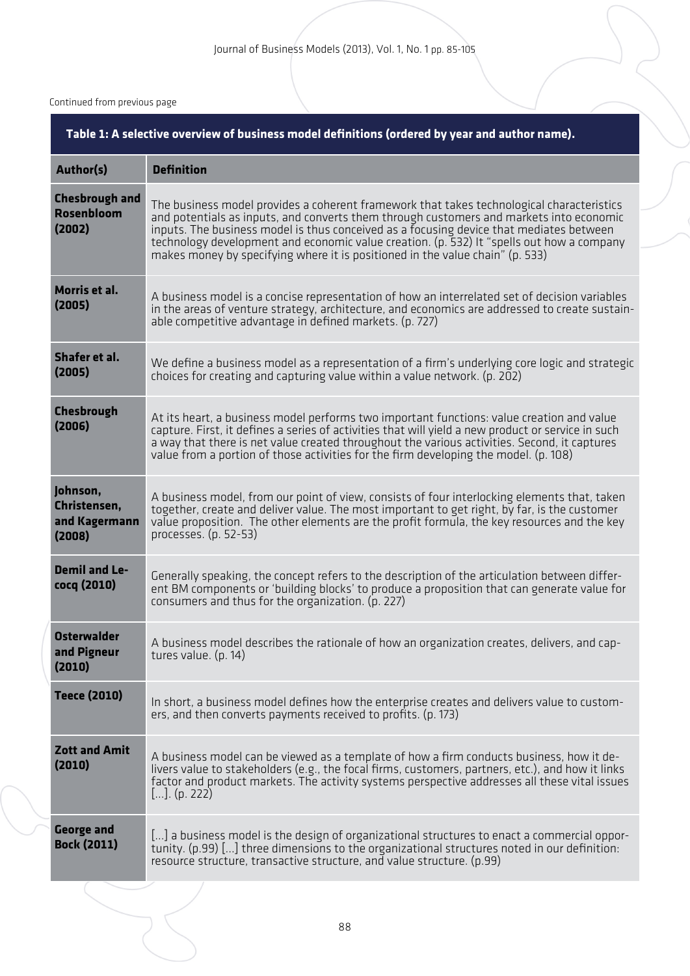#### Continued from previous page

| Table 1: A selective overview of business model definitions (ordered by year and author name). |                                                                                                                                                                                                                                                                                                                                                                                                                                                               |  |  |
|------------------------------------------------------------------------------------------------|---------------------------------------------------------------------------------------------------------------------------------------------------------------------------------------------------------------------------------------------------------------------------------------------------------------------------------------------------------------------------------------------------------------------------------------------------------------|--|--|
| <b>Author(s)</b>                                                                               | <b>Definition</b>                                                                                                                                                                                                                                                                                                                                                                                                                                             |  |  |
| <b>Chesbrough and</b><br><b>Rosenbloom</b><br>(2002)                                           | The business model provides a coherent framework that takes technological characteristics<br>and potentials as inputs, and converts them through customers and markets into economic<br>inputs. The business model is thus conceived as a focusing device that mediates between<br>technology development and economic value creation. (p. 532) It "spells out how a company<br>makes money by specifying where it is positioned in the value chain" (p. 533) |  |  |
| Morris et al.<br>(2005)                                                                        | A business model is a concise representation of how an interrelated set of decision variables<br>in the areas of venture strategy, architecture, and economics are addressed to create sustain-<br>able competitive advantage in defined markets. (p. 727)                                                                                                                                                                                                    |  |  |
| Shafer et al.<br>(2005)                                                                        | We define a business model as a representation of a firm's underlying core logic and strategic<br>choices for creating and capturing value within a value network. (p. $202$ )                                                                                                                                                                                                                                                                                |  |  |
| <b>Chesbrough</b><br>(2006)                                                                    | At its heart, a business model performs two important functions: value creation and value<br>capture. First, it defines a series of activities that will yield a new product or service in such<br>a way that there is net value created throughout the various activities. Second, it captures<br>value from a portion of those activities for the firm developing the model. (p. 108)                                                                       |  |  |
| Johnson,<br>Christensen,<br>and Kagermann<br>(2008)                                            | A business model, from our point of view, consists of four interlocking elements that, taken<br>together, create and deliver value. The most important to get right, by far, is the customer<br>value proposition. The other elements are the profit formula, the key resources and the key<br>processes. (p. 52-53)                                                                                                                                          |  |  |
| <b>Demil and Le-</b><br>cocq (2010)                                                            | Generally speaking, the concept refers to the description of the articulation between differ-<br>ent BM components or 'building blocks' to produce a proposition that can generate value for<br>consumers and thus for the organization. (p. 227)                                                                                                                                                                                                             |  |  |
| <b>Osterwalder</b><br>and Pigneur<br>(2010)                                                    | A business model describes the rationale of how an organization creates, delivers, and cap-<br>tures value. $(p. 14)$                                                                                                                                                                                                                                                                                                                                         |  |  |
| <b>Teece (2010)</b>                                                                            | In short, a business model defines how the enterprise creates and delivers value to custom-<br>ers, and then converts payments received to profits. (p. 173)                                                                                                                                                                                                                                                                                                  |  |  |
| <b>Zott and Amit</b><br>(2010)                                                                 | A business model can be viewed as a template of how a firm conducts business, how it de-<br>livers value to stakeholders (e.g., the focal firms, customers, partners, etc.), and how it links<br>factor and product markets. The activity systems perspective addresses all these vital issues<br>[]. (p. 222)                                                                                                                                                |  |  |
| <b>George and</b><br><b>Bock (2011)</b>                                                        | [] a business model is the design of organizational structures to enact a commercial oppor-<br>tunity. (p.99) [] three dimensions to the organizational structures noted in our definition:<br>resource structure, transactive structure, and value structure. (p.99)                                                                                                                                                                                         |  |  |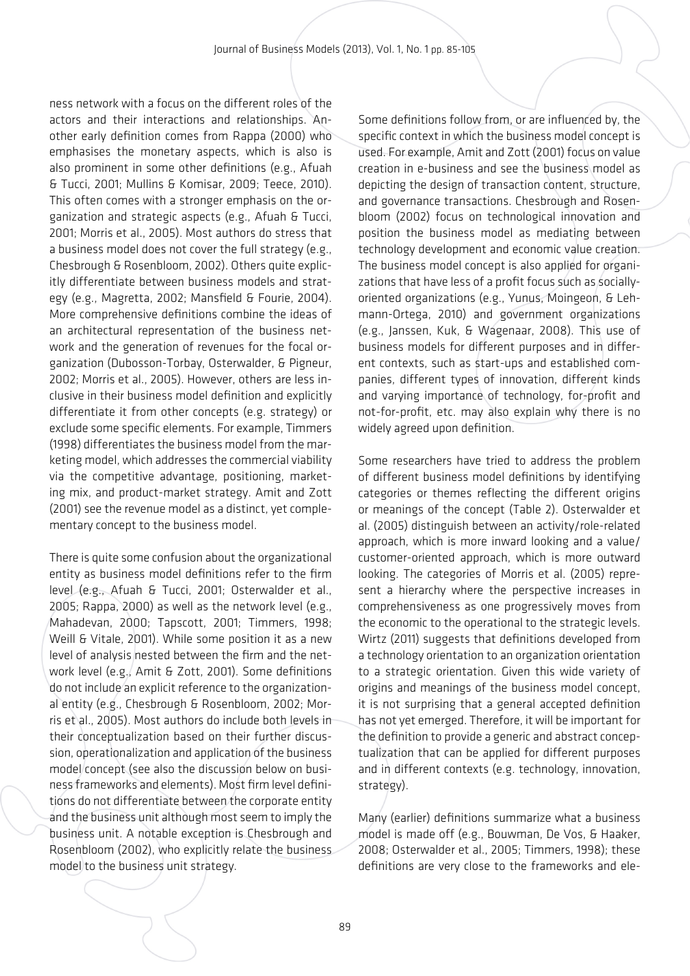ness network with a focus on the different roles of the actors and their interactions and relationships. Another early definition comes from Rappa (2000) who emphasises the monetary aspects, which is also is also prominent in some other definitions (e.g., Afuah & Tucci, 2001; Mullins & Komisar, 2009; Teece, 2010). This often comes with a stronger emphasis on the organization and strategic aspects (e.g., Afuah & Tucci, 2001; Morris et al., 2005). Most authors do stress that a business model does not cover the full strategy (e.g., Chesbrough & Rosenbloom, 2002). Others quite explicitly differentiate between business models and strategy (e.g., Magretta, 2002; Mansfield & Fourie, 2004). More comprehensive definitions combine the ideas of an architectural representation of the business network and the generation of revenues for the focal organization (Dubosson-Torbay, Osterwalder, & Pigneur, 2002; Morris et al., 2005). However, others are less inclusive in their business model definition and explicitly differentiate it from other concepts (e.g. strategy) or exclude some specific elements. For example, Timmers (1998) differentiates the business model from the marketing model, which addresses the commercial viability via the competitive advantage, positioning, marketing mix, and product-market strategy. Amit and Zott (2001) see the revenue model as a distinct, yet complementary concept to the business model.

There is quite some confusion about the organizational entity as business model definitions refer to the firm level (e.g., Afuah & Tucci, 2001; Osterwalder et al., 2005; Rappa, 2000) as well as the network level (e.g., Mahadevan, 2000; Tapscott, 2001; Timmers, 1998; Weill & Vitale, 2001). While some position it as a new level of analysis nested between the firm and the network level (e.g., Amit & Zott, 2001). Some definitions do not include an explicit reference to the organizational entity (e.g., Chesbrough & Rosenbloom, 2002; Morris et al., 2005). Most authors do include both levels in their conceptualization based on their further discussion, operationalization and application of the business model concept (see also the discussion below on business frameworks and elements). Most firm level definitions do not differentiate between the corporate entity and the business unit although most seem to imply the business unit. A notable exception is Chesbrough and Rosenbloom (2002), who explicitly relate the business model to the business unit strategy.

Some definitions follow from, or are influenced by, the specific context in which the business model concept is used. For example, Amit and Zott (2001) focus on value creation in e-business and see the business model as depicting the design of transaction content, structure, and governance transactions. Chesbrough and Rosenbloom (2002) focus on technological innovation and position the business model as mediating between technology development and economic value creation. The business model concept is also applied for organizations that have less of a profit focus such as sociallyoriented organizations (e.g., Yunus, Moingeon, & Lehmann-Ortega, 2010) and government organizations (e.g., Janssen, Kuk, & Wagenaar, 2008). This use of business models for different purposes and in different contexts, such as start-ups and established companies, different types of innovation, different kinds and varying importance of technology, for-profit and not-for-profit, etc. may also explain why there is no widely agreed upon definition.

Some researchers have tried to address the problem of different business model definitions by identifying categories or themes reflecting the different origins or meanings of the concept (Table 2). Osterwalder et al. (2005) distinguish between an activity/role-related approach, which is more inward looking and a value/ customer-oriented approach, which is more outward looking. The categories of Morris et al. (2005) represent a hierarchy where the perspective increases in comprehensiveness as one progressively moves from the economic to the operational to the strategic levels. Wirtz (2011) suggests that definitions developed from a technology orientation to an organization orientation to a strategic orientation. Given this wide variety of origins and meanings of the business model concept, it is not surprising that a general accepted definition has not yet emerged. Therefore, it will be important for the definition to provide a generic and abstract conceptualization that can be applied for different purposes and in different contexts (e.g. technology, innovation, strategy).

Many (earlier) definitions summarize what a business model is made off (e.g., Bouwman, De Vos, & Haaker, 2008; Osterwalder et al., 2005; Timmers, 1998); these definitions are very close to the frameworks and ele-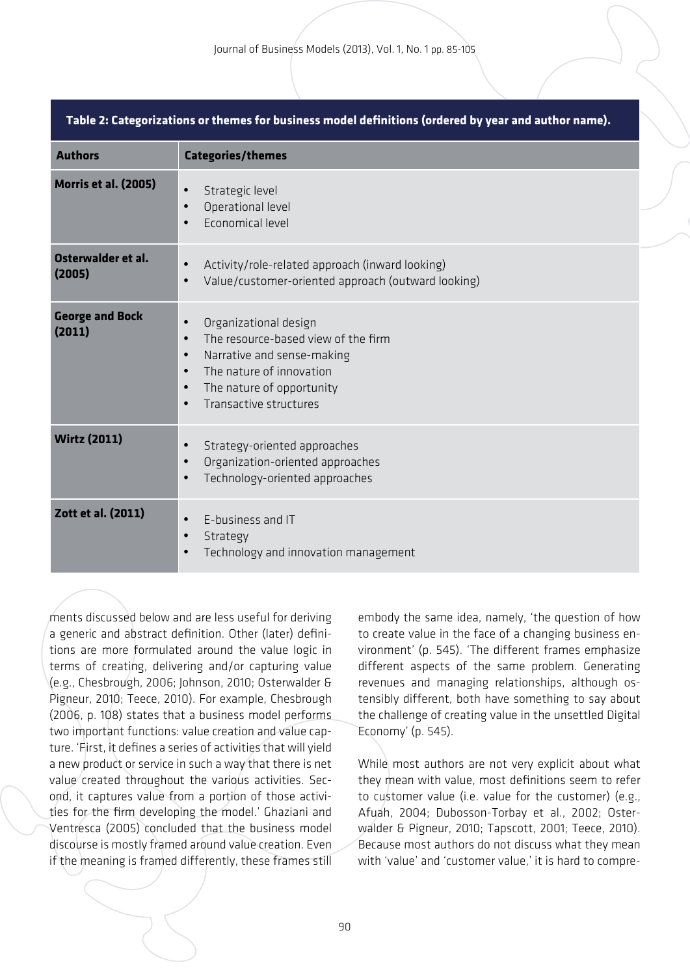| Table 2: Categorizations or themes for business model definitions (ordered by year and author name). |                                                                                                                                                                                                                                                             |  |  |  |
|------------------------------------------------------------------------------------------------------|-------------------------------------------------------------------------------------------------------------------------------------------------------------------------------------------------------------------------------------------------------------|--|--|--|
| <b>Authors</b>                                                                                       | <b>Categories/themes</b>                                                                                                                                                                                                                                    |  |  |  |
| <b>Morris et al. (2005)</b>                                                                          | Strategic level<br>$\bullet$<br>Operational level<br>$\bullet$<br>Economical level                                                                                                                                                                          |  |  |  |
| Osterwalder et al.<br>(2005)                                                                         | Activity/role-related approach (inward looking)<br>$\bullet$<br>Value/customer-oriented approach (outward looking)<br>$\bullet$                                                                                                                             |  |  |  |
| <b>George and Bock</b><br>(2011)                                                                     | Organizational design<br>$\bullet$<br>The resource-based view of the firm<br>$\bullet$<br>Narrative and sense-making<br>$\bullet$<br>The nature of innovation<br>$\bullet$<br>The nature of opportunity<br>$\bullet$<br>Transactive structures<br>$\bullet$ |  |  |  |
| <b>Wirtz (2011)</b>                                                                                  | Strategy-oriented approaches<br>$\bullet$<br>Organization-oriented approaches<br>$\bullet$<br>Technology-oriented approaches<br>$\bullet$                                                                                                                   |  |  |  |
| Zott et al. (2011)                                                                                   | E-business and IT<br>$\bullet$<br>Strategy<br>$\bullet$<br>Technology and innovation management                                                                                                                                                             |  |  |  |

ments discussed below and are less useful for deriving a generic and abstract definition. Other (later) definitions are more formulated around the value logic in terms of creating, delivering and/or capturing value (e.g., Chesbrough, 2006; Johnson, 2010; Osterwalder & Pigneur, 2010; Teece, 2010). For example, Chesbrough (2006, p. 108) states that a business model performs two important functions: value creation and value capture. 'First, it defines a series of activities that will yield a new product or service in such a way that there is net value created throughout the various activities. Second, it captures value from a portion of those activities for the firm developing the model.' Ghaziani and Ventresca (2005) concluded that the business model discourse is mostly framed around value creation. Even if the meaning is framed differently, these frames still

embody the same idea, namely, 'the question of how to create value in the face of a changing business environment' (p. 545). 'The different frames emphasize different aspects of the same problem. Generating revenues and managing relationships, although ostensibly different, both have something to say about the challenge of creating value in the unsettled Digital Economy' (p. 545).

While most authors are not very explicit about what they mean with value, most definitions seem to refer to customer value (i.e. value for the customer) (e.g., Afuah, 2004; Dubosson-Torbay et al., 2002; Osterwalder & Pigneur, 2010; Tapscott, 2001; Teece, 2010). Because most authors do not discuss what they mean with 'value' and 'customer value,' it is hard to compre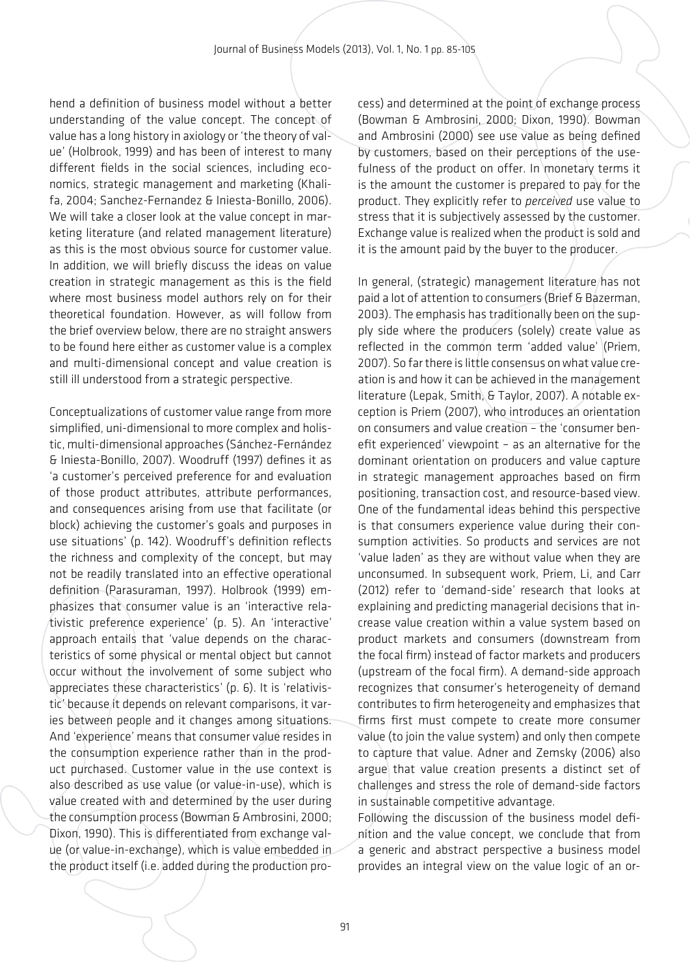hend a definition of business model without a better understanding of the value concept. The concept of value has a long history in axiology or 'the theory of value' (Holbrook, 1999) and has been of interest to many different fields in the social sciences, including economics, strategic management and marketing (Khalifa, 2004; Sanchez-Fernandez & Iniesta-Bonillo, 2006). We will take a closer look at the value concept in marketing literature (and related management literature) as this is the most obvious source for customer value. In addition, we will briefly discuss the ideas on value creation in strategic management as this is the field where most business model authors rely on for their theoretical foundation. However, as will follow from the brief overview below, there are no straight answers to be found here either as customer value is a complex and multi-dimensional concept and value creation is still ill understood from a strategic perspective.

Conceptualizations of customer value range from more simplified, uni-dimensional to more complex and holistic, multi-dimensional approaches (Sánchez-Fernández & Iniesta-Bonillo, 2007). Woodruff (1997) defines it as 'a customer's perceived preference for and evaluation of those product attributes, attribute performances, and consequences arising from use that facilitate (or block) achieving the customer's goals and purposes in use situations' (p. 142). Woodruff's definition reflects the richness and complexity of the concept, but may not be readily translated into an effective operational definition (Parasuraman, 1997). Holbrook (1999) emphasizes that consumer value is an 'interactive relativistic preference experience' (p. 5). An 'interactive' approach entails that 'value depends on the characteristics of some physical or mental object but cannot occur without the involvement of some subject who appreciates these characteristics' (p. 6). It is 'relativistic' because it depends on relevant comparisons, it varies between people and it changes among situations. And 'experience' means that consumer value resides in the consumption experience rather than in the product purchased. Customer value in the use context is also described as use value (or value-in-use), which is value created with and determined by the user during the consumption process (Bowman & Ambrosini, 2000; Dixon, 1990). This is differentiated from exchange value (or value-in-exchange), which is value embedded in the product itself (i.e. added during the production process) and determined at the point of exchange process (Bowman & Ambrosini, 2000; Dixon, 1990). Bowman and Ambrosini (2000) see use value as being defined by customers, based on their perceptions of the usefulness of the product on offer. In monetary terms it is the amount the customer is prepared to pay for the product. They explicitly refer to *perceived* use value to stress that it is subjectively assessed by the customer. Exchange value is realized when the product is sold and it is the amount paid by the buyer to the producer.

In general, (strategic) management literature has not paid a lot of attention to consumers (Brief & Bazerman, 2003). The emphasis has traditionally been on the supply side where the producers (solely) create value as reflected in the common term 'added value' (Priem, 2007). So far there is little consensus on what value creation is and how it can be achieved in the management literature (Lepak, Smith, & Taylor, 2007). A notable exception is Priem (2007), who introduces an orientation on consumers and value creation – the 'consumer benefit experienced' viewpoint – as an alternative for the dominant orientation on producers and value capture in strategic management approaches based on firm positioning, transaction cost, and resource-based view. One of the fundamental ideas behind this perspective is that consumers experience value during their consumption activities. So products and services are not 'value laden' as they are without value when they are unconsumed. In subsequent work, Priem, Li, and Carr (2012) refer to 'demand-side' research that looks at explaining and predicting managerial decisions that increase value creation within a value system based on product markets and consumers (downstream from the focal firm) instead of factor markets and producers (upstream of the focal firm). A demand-side approach recognizes that consumer's heterogeneity of demand contributes to firm heterogeneity and emphasizes that firms first must compete to create more consumer value (to join the value system) and only then compete to capture that value. Adner and Zemsky (2006) also argue that value creation presents a distinct set of challenges and stress the role of demand-side factors in sustainable competitive advantage.

Following the discussion of the business model definition and the value concept, we conclude that from a generic and abstract perspective a business model provides an integral view on the value logic of an or-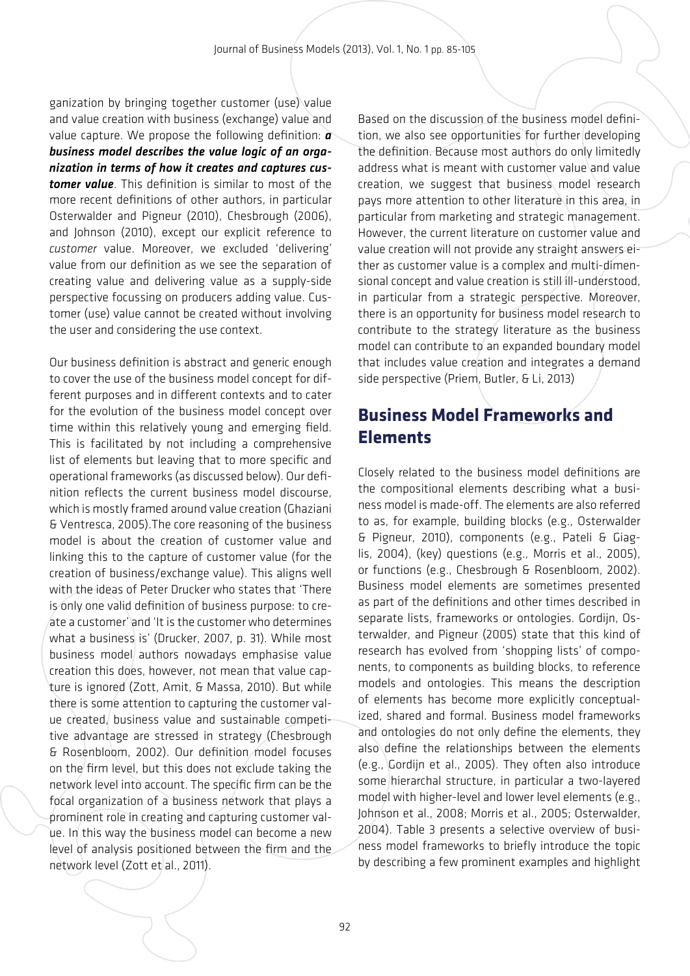ganization by bringing together customer (use) value and value creation with business (exchange) value and value capture. We propose the following definition: *a business model describes the value logic of an organization in terms of how it creates and captures customer value*. This definition is similar to most of the more recent definitions of other authors, in particular Osterwalder and Pigneur (2010), Chesbrough (2006), and Johnson (2010), except our explicit reference to *customer* value. Moreover, we excluded 'delivering' value from our definition as we see the separation of creating value and delivering value as a supply-side perspective focussing on producers adding value. Customer (use) value cannot be created without involving the user and considering the use context.

Our business definition is abstract and generic enough to cover the use of the business model concept for different purposes and in different contexts and to cater for the evolution of the business model concept over time within this relatively young and emerging field. This is facilitated by not including a comprehensive list of elements but leaving that to more specific and operational frameworks (as discussed below). Our definition reflects the current business model discourse, which is mostly framed around value creation (Ghaziani & Ventresca, 2005).The core reasoning of the business model is about the creation of customer value and linking this to the capture of customer value (for the creation of business/exchange value). This aligns well with the ideas of Peter Drucker who states that 'There is only one valid definition of business purpose: to create a customer' and 'It is the customer who determines what a business is' (Drucker, 2007, p. 31). While most business model authors nowadays emphasise value creation this does, however, not mean that value capture is ignored (Zott, Amit, & Massa, 2010). But while there is some attention to capturing the customer value created, business value and sustainable competitive advantage are stressed in strategy (Chesbrough & Rosenbloom, 2002). Our definition model focuses on the firm level, but this does not exclude taking the network level into account. The specific firm can be the focal organization of a business network that plays a prominent role in creating and capturing customer value. In this way the business model can become a new level of analysis positioned between the firm and the network level (Zott et al., 2011).

Based on the discussion of the business model definition, we also see opportunities for further developing the definition. Because most authors do only limitedly address what is meant with customer value and value creation, we suggest that business model research pays more attention to other literature in this area, in particular from marketing and strategic management. However, the current literature on customer value and value creation will not provide any straight answers either as customer value is a complex and multi-dimensional concept and value creation is still ill-understood, in particular from a strategic perspective. Moreover, there is an opportunity for business model research to contribute to the strategy literature as the business model can contribute to an expanded boundary model that includes value creation and integrates a demand side perspective (Priem, Butler, & Li, 2013)

## **Business Model Frameworks and Elements**

Closely related to the business model definitions are the compositional elements describing what a business model is made-off. The elements are also referred to as, for example, building blocks (e.g., Osterwalder & Pigneur, 2010), components (e.g., Pateli & Giaglis, 2004), (key) questions (e.g., Morris et al., 2005), or functions (e.g., Chesbrough & Rosenbloom, 2002). Business model elements are sometimes presented as part of the definitions and other times described in separate lists, frameworks or ontologies. Gordijn, Osterwalder, and Pigneur (2005) state that this kind of research has evolved from 'shopping lists' of components, to components as building blocks, to reference models and ontologies. This means the description of elements has become more explicitly conceptualized, shared and formal. Business model frameworks and ontologies do not only define the elements, they also define the relationships between the elements (e.g., Gordijn et al., 2005). They often also introduce some hierarchal structure, in particular a two-layered model with higher-level and lower level elements (e.g., Johnson et al., 2008; Morris et al., 2005; Osterwalder, 2004). Table 3 presents a selective overview of business model frameworks to briefly introduce the topic by describing a few prominent examples and highlight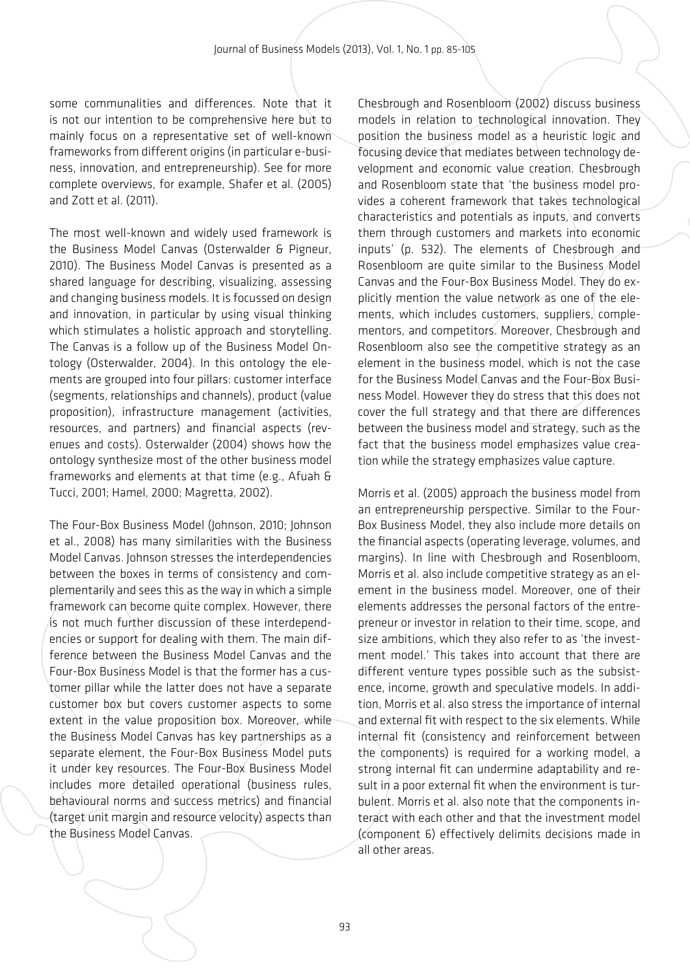some communalities and differences. Note that it is not our intention to be comprehensive here but to mainly focus on a representative set of well-known frameworks from different origins (in particular e-business, innovation, and entrepreneurship). See for more complete overviews, for example, Shafer et al. (2005) and Zott et al. (2011).

The most well-known and widely used framework is the Business Model Canvas (Osterwalder & Pigneur, 2010). The Business Model Canvas is presented as a shared language for describing, visualizing, assessing and changing business models. It is focussed on design and innovation, in particular by using visual thinking which stimulates a holistic approach and storytelling. The Canvas is a follow up of the Business Model Ontology (Osterwalder, 2004). In this ontology the elements are grouped into four pillars: customer interface (segments, relationships and channels), product (value proposition), infrastructure management (activities, resources, and partners) and financial aspects (revenues and costs). Osterwalder (2004) shows how the ontology synthesize most of the other business model frameworks and elements at that time (e.g., Afuah & Tucci, 2001; Hamel, 2000; Magretta, 2002).

The Four-Box Business Model (Johnson, 2010; Johnson et al., 2008) has many similarities with the Business Model Canvas. Johnson stresses the interdependencies between the boxes in terms of consistency and complementarily and sees this as the way in which a simple framework can become quite complex. However, there is not much further discussion of these interdependencies or support for dealing with them. The main difference between the Business Model Canvas and the Four-Box Business Model is that the former has a customer pillar while the latter does not have a separate customer box but covers customer aspects to some extent in the value proposition box. Moreover, while the Business Model Canvas has key partnerships as a separate element, the Four-Box Business Model puts it under key resources. The Four-Box Business Model includes more detailed operational (business rules, behavioural norms and success metrics) and financial (target unit margin and resource velocity) aspects than the Business Model Canvas.

Chesbrough and Rosenbloom (2002) discuss business models in relation to technological innovation. They position the business model as a heuristic logic and focusing device that mediates between technology development and economic value creation. Chesbrough and Rosenbloom state that 'the business model provides a coherent framework that takes technological characteristics and potentials as inputs, and converts them through customers and markets into economic inputs' (p. 532). The elements of Chesbrough and Rosenbloom are quite similar to the Business Model Canvas and the Four-Box Business Model. They do explicitly mention the value network as one of the elements, which includes customers, suppliers, complementors, and competitors. Moreover, Chesbrough and Rosenbloom also see the competitive strategy as an element in the business model, which is not the case for the Business Model Canvas and the Four-Box Business Model. However they do stress that this does not cover the full strategy and that there are differences between the business model and strategy, such as the fact that the business model emphasizes value creation while the strategy emphasizes value capture.

Morris et al. (2005) approach the business model from an entrepreneurship perspective. Similar to the Four-Box Business Model, they also include more details on the financial aspects (operating leverage, volumes, and margins). In line with Chesbrough and Rosenbloom, Morris et al. also include competitive strategy as an element in the business model. Moreover, one of their elements addresses the personal factors of the entrepreneur or investor in relation to their time, scope, and size ambitions, which they also refer to as 'the investment model.' This takes into account that there are different venture types possible such as the subsistence, income, growth and speculative models. In addition, Morris et al. also stress the importance of internal and external fit with respect to the six elements. While internal fit (consistency and reinforcement between the components) is required for a working model, a strong internal fit can undermine adaptability and result in a poor external fit when the environment is turbulent. Morris et al. also note that the components interact with each other and that the investment model (component 6) effectively delimits decisions made in all other areas.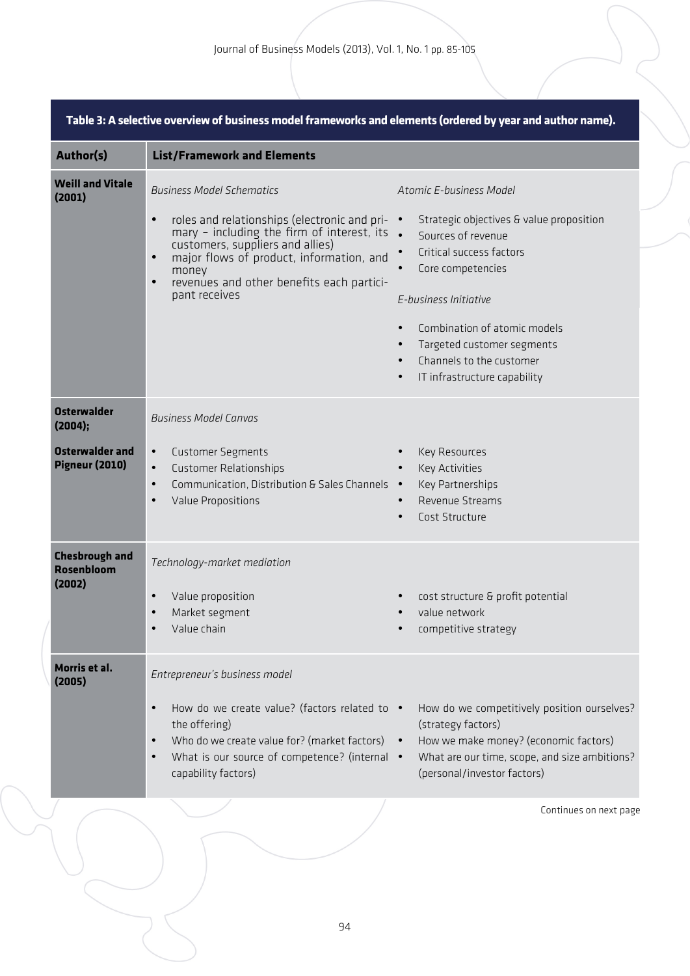| <b>Author(s)</b>                                                                 | <b>List/Framework and Elements</b>                                                                                                                                                                                                                                                                                               |                                                                                                                                                                                                                                                                                                                                      |  |  |  |
|----------------------------------------------------------------------------------|----------------------------------------------------------------------------------------------------------------------------------------------------------------------------------------------------------------------------------------------------------------------------------------------------------------------------------|--------------------------------------------------------------------------------------------------------------------------------------------------------------------------------------------------------------------------------------------------------------------------------------------------------------------------------------|--|--|--|
| <b>Weill and Vitale</b><br>(2001)                                                | <b>Business Model Schematics</b><br>roles and relationships (electronic and pri- •<br>$\bullet$<br>mary - including the firm of interest, its .<br>customers, suppliers and allies)<br>major flows of product, information, and<br>$\bullet$<br>money<br>revenues and other benefits each partici-<br>$\bullet$<br>pant receives | Atomic E-business Model<br>Strategic objectives & value proposition<br>Sources of revenue<br>Critical success factors<br>Core competencies<br>$\bullet$<br>E-business Initiative<br>Combination of atomic models<br>$\bullet$<br>Targeted customer segments<br>Channels to the customer<br>IT infrastructure capability<br>$\bullet$ |  |  |  |
| <b>Osterwalder</b><br>(2004);<br><b>Osterwalder and</b><br><b>Pigneur (2010)</b> | <b>Business Model Canvas</b><br>$\bullet$<br><b>Customer Segments</b><br><b>Customer Relationships</b><br>$\bullet$<br>Communication, Distribution & Sales Channels .<br>$\bullet$<br>Value Propositions<br>$\bullet$                                                                                                            | Key Resources<br><b>Key Activities</b><br>Key Partnerships<br>Revenue Streams<br>Cost Structure<br>$\bullet$                                                                                                                                                                                                                         |  |  |  |
| <b>Chesbrough and</b><br><b>Rosenbloom</b><br>(2002)<br>Morris et al.            | Technology-market mediation<br>Value proposition<br>$\bullet$<br>Market segment<br>$\bullet$<br>Value chain<br>$\bullet$                                                                                                                                                                                                         | cost structure & profit potential<br>value network<br>competitive strategy                                                                                                                                                                                                                                                           |  |  |  |
| (2005)                                                                           | Entrepreneur's business model<br>How do we create value? (factors related to •<br>$\bullet$<br>the offering)<br>Who do we create value for? (market factors)<br>$\bullet$<br>What is our source of competence? (internal •<br>$\bullet$<br>capability factors)                                                                   | How do we competitively position ourselves?<br>(strategy factors)<br>How we make money? (economic factors)<br>What are our time, scope, and size ambitions?<br>(personal/investor factors)                                                                                                                                           |  |  |  |
|                                                                                  |                                                                                                                                                                                                                                                                                                                                  | Continues on next page                                                                                                                                                                                                                                                                                                               |  |  |  |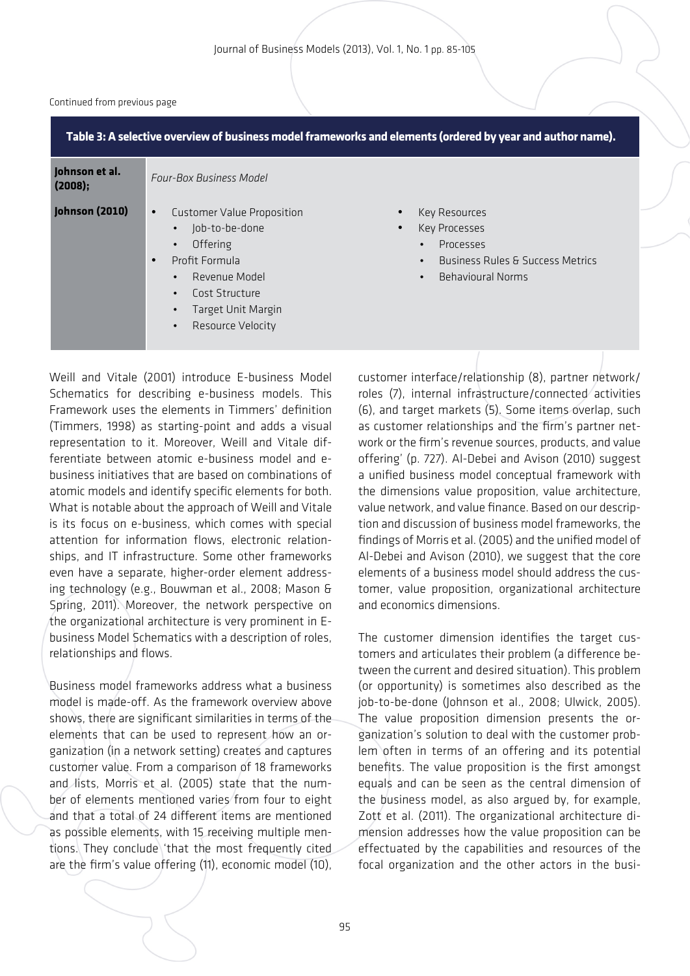#### Continued from previous page

| Table 3: A selective overview of business model frameworks and elements (ordered by year and author name). |                                                                                                                                                                                                                                                     |                                                                                                                              |  |  |  |
|------------------------------------------------------------------------------------------------------------|-----------------------------------------------------------------------------------------------------------------------------------------------------------------------------------------------------------------------------------------------------|------------------------------------------------------------------------------------------------------------------------------|--|--|--|
| Johnson et al.<br>(2008);                                                                                  | <b>Four-Box Business Model</b>                                                                                                                                                                                                                      |                                                                                                                              |  |  |  |
| Johnson (2010)                                                                                             | Customer Value Proposition<br>$\bullet$<br>Job-to-be-done<br>$\bullet$<br>Offering<br>$\bullet$<br>Profit Formula<br>$\bullet$<br>Revenue Model<br>$\bullet$<br>Cost Structure<br>$\bullet$<br>Target Unit Margin<br>Resource Velocity<br>$\bullet$ | Key Resources<br>Key Processes<br>Processes<br>$\bullet$<br><b>Business Rules &amp; Success Metrics</b><br>Behavioural Norms |  |  |  |

Weill and Vitale (2001) introduce E-business Model Schematics for describing e-business models. This Framework uses the elements in Timmers' definition (Timmers, 1998) as starting-point and adds a visual representation to it. Moreover, Weill and Vitale differentiate between atomic e-business model and ebusiness initiatives that are based on combinations of atomic models and identify specific elements for both. What is notable about the approach of Weill and Vitale is its focus on e-business, which comes with special attention for information flows, electronic relationships, and IT infrastructure. Some other frameworks even have a separate, higher-order element addressing technology (e.g., Bouwman et al., 2008; Mason & Spring, 2011). Moreover, the network perspective on the organizational architecture is very prominent in Ebusiness Model Schematics with a description of roles, relationships and flows.

Business model frameworks address what a business model is made-off. As the framework overview above shows, there are significant similarities in terms of the elements that can be used to represent how an organization (in a network setting) creates and captures customer value. From a comparison of 18 frameworks and lists, Morris et al. (2005) state that the number of elements mentioned varies from four to eight and that a total of 24 different items are mentioned as possible elements, with 15 receiving multiple mentions. They conclude 'that the most frequently cited are the firm's value offering (11), economic model (10), customer interface/relationship (8), partner network/ roles (7), internal infrastructure/connected activities (6), and target markets (5). Some items overlap, such as customer relationships and the firm's partner network or the firm's revenue sources, products, and value offering' (p. 727). Al-Debei and Avison (2010) suggest a unified business model conceptual framework with the dimensions value proposition, value architecture, value network, and value finance. Based on our description and discussion of business model frameworks, the findings of Morris et al. (2005) and the unified model of Al-Debei and Avison (2010), we suggest that the core elements of a business model should address the customer, value proposition, organizational architecture and economics dimensions.

The customer dimension identifies the target customers and articulates their problem (a difference between the current and desired situation). This problem (or opportunity) is sometimes also described as the job-to-be-done (Johnson et al., 2008; Ulwick, 2005). The value proposition dimension presents the organization's solution to deal with the customer problem often in terms of an offering and its potential benefits. The value proposition is the first amongst equals and can be seen as the central dimension of the business model, as also argued by, for example, Zott et al. (2011). The organizational architecture dimension addresses how the value proposition can be effectuated by the capabilities and resources of the focal organization and the other actors in the busi-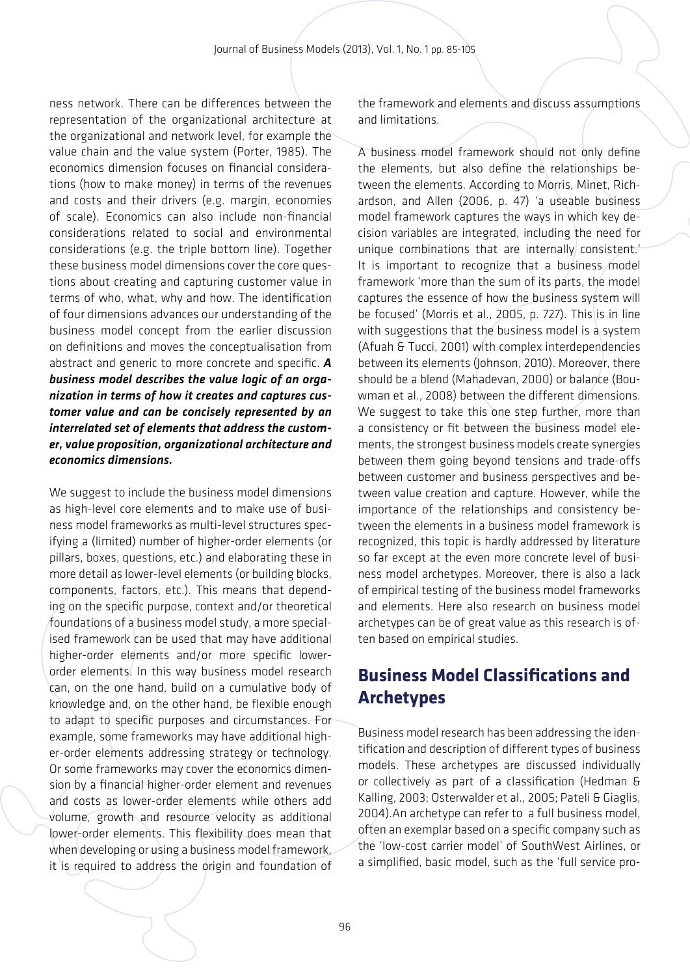ness network. There can be differences between the representation of the organizational architecture at the organizational and network level, for example the value chain and the value system (Porter, 1985). The economics dimension focuses on financial considerations (how to make money) in terms of the revenues and costs and their drivers (e.g. margin, economies of scale). Economics can also include non-financial considerations related to social and environmental considerations (e.g. the triple bottom line). Together these business model dimensions cover the core questions about creating and capturing customer value in terms of who, what, why and how. The identification of four dimensions advances our understanding of the business model concept from the earlier discussion on definitions and moves the conceptualisation from abstract and generic to more concrete and specific. *A business model describes the value logic of an organization in terms of how it creates and captures customer value and can be concisely represented by an interrelated set of elements that address the customer, value proposition, organizational architecture and economics dimensions.*

We suggest to include the business model dimensions as high-level core elements and to make use of business model frameworks as multi-level structures specifying a (limited) number of higher-order elements (or pillars, boxes, questions, etc.) and elaborating these in more detail as lower-level elements (or building blocks, components, factors, etc.). This means that depending on the specific purpose, context and/or theoretical foundations of a business model study, a more specialised framework can be used that may have additional higher-order elements and/or more specific lowerorder elements. In this way business model research can, on the one hand, build on a cumulative body of knowledge and, on the other hand, be flexible enough to adapt to specific purposes and circumstances. For example, some frameworks may have additional higher-order elements addressing strategy or technology. Or some frameworks may cover the economics dimension by a financial higher-order element and revenues and costs as lower-order elements while others add volume, growth and resource velocity as additional lower-order elements. This flexibility does mean that when developing or using a business model framework, it is required to address the origin and foundation of the framework and elements and discuss assumptions and limitations.

A business model framework should not only define the elements, but also define the relationships between the elements. According to Morris, Minet, Richardson, and Allen (2006, p. 47) 'a useable business model framework captures the ways in which key decision variables are integrated, including the need for unique combinations that are internally consistent.' It is important to recognize that a business model framework 'more than the sum of its parts, the model captures the essence of how the business system will be focused' (Morris et al., 2005, p. 727). This is in line with suggestions that the business model is a system (Afuah & Tucci, 2001) with complex interdependencies between its elements (Johnson, 2010). Moreover, there should be a blend (Mahadevan, 2000) or balance (Bouwman et al., 2008) between the different dimensions. We suggest to take this one step further, more than a consistency or fit between the business model elements, the strongest business models create synergies between them going beyond tensions and trade-offs between customer and business perspectives and between value creation and capture. However, while the importance of the relationships and consistency between the elements in a business model framework is recognized, this topic is hardly addressed by literature so far except at the even more concrete level of business model archetypes. Moreover, there is also a lack of empirical testing of the business model frameworks and elements. Here also research on business model archetypes can be of great value as this research is often based on empirical studies.

## **Business Model Classifications and Archetypes**

Business model research has been addressing the identification and description of different types of business models. These archetypes are discussed individually or collectively as part of a classification (Hedman & Kalling, 2003; Osterwalder et al., 2005; Pateli & Giaglis, 2004).An archetype can refer to a full business model, often an exemplar based on a specific company such as the 'low-cost carrier model' of SouthWest Airlines, or a simplified, basic model, such as the 'full service pro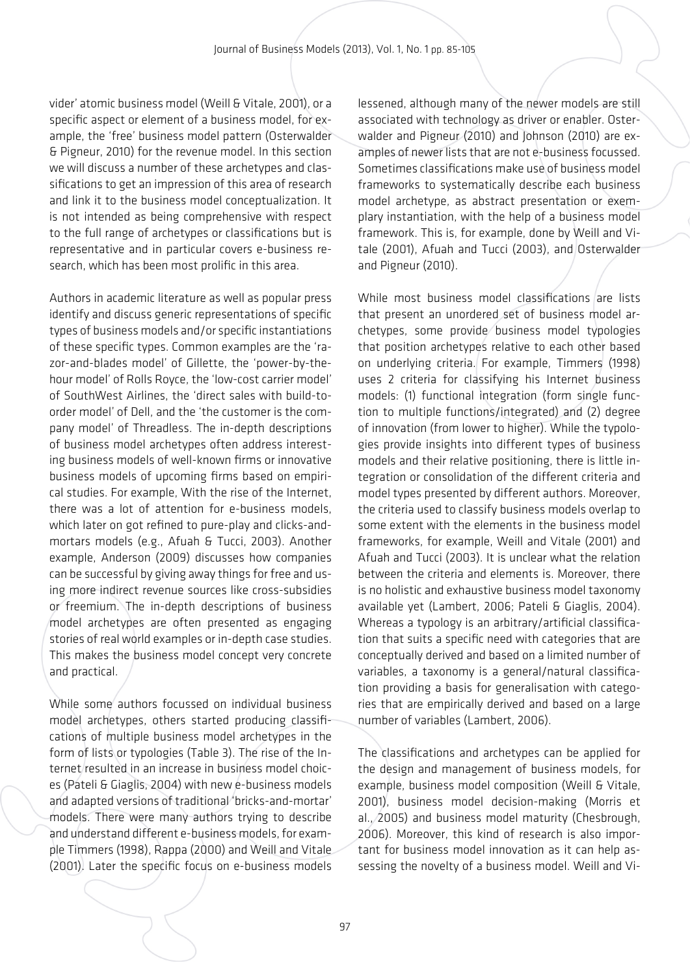vider' atomic business model (Weill & Vitale, 2001), or a specific aspect or element of a business model, for example, the 'free' business model pattern (Osterwalder & Pigneur, 2010) for the revenue model. In this section we will discuss a number of these archetypes and classifications to get an impression of this area of research and link it to the business model conceptualization. It is not intended as being comprehensive with respect to the full range of archetypes or classifications but is representative and in particular covers e-business research, which has been most prolific in this area.

Authors in academic literature as well as popular press identify and discuss generic representations of specific types of business models and/or specific instantiations of these specific types. Common examples are the 'razor-and-blades model' of Gillette, the 'power-by-thehour model' of Rolls Royce, the 'low-cost carrier model' of SouthWest Airlines, the 'direct sales with build-toorder model' of Dell, and the 'the customer is the company model' of Threadless. The in-depth descriptions of business model archetypes often address interesting business models of well-known firms or innovative business models of upcoming firms based on empirical studies. For example, With the rise of the Internet, there was a lot of attention for e-business models, which later on got refined to pure-play and clicks-andmortars models (e.g., Afuah & Tucci, 2003). Another example, Anderson (2009) discusses how companies can be successful by giving away things for free and using more indirect revenue sources like cross-subsidies or freemium. The in-depth descriptions of business model archetypes are often presented as engaging stories of real world examples or in-depth case studies. This makes the business model concept very concrete and practical.

While some authors focussed on individual business model archetypes, others started producing classifications of multiple business model archetypes in the form of lists or typologies (Table 3). The rise of the Internet resulted in an increase in business model choices (Pateli & Giaglis, 2004) with new e-business models and adapted versions of traditional 'bricks-and-mortar' models. There were many authors trying to describe and understand different e-business models, for example Timmers (1998), Rappa (2000) and Weill and Vitale (2001). Later the specific focus on e-business models

lessened, although many of the newer models are still associated with technology as driver or enabler. Osterwalder and Pigneur (2010) and Johnson (2010) are examples of newer lists that are not e-business focussed. Sometimes classifications make use of business model frameworks to systematically describe each business model archetype, as abstract presentation or exemplary instantiation, with the help of a business model framework. This is, for example, done by Weill and Vitale (2001), Afuah and Tucci (2003), and Osterwalder and Pigneur (2010).

While most business model classifications are lists that present an unordered set of business model archetypes, some provide business model typologies that position archetypes relative to each other based on underlying criteria. For example, Timmers (1998) uses 2 criteria for classifying his Internet business models: (1) functional integration (form single function to multiple functions/integrated) and (2) degree of innovation (from lower to higher). While the typologies provide insights into different types of business models and their relative positioning, there is little integration or consolidation of the different criteria and model types presented by different authors. Moreover, the criteria used to classify business models overlap to some extent with the elements in the business model frameworks, for example, Weill and Vitale (2001) and Afuah and Tucci (2003). It is unclear what the relation between the criteria and elements is. Moreover, there is no holistic and exhaustive business model taxonomy available yet (Lambert, 2006; Pateli & Giaglis, 2004). Whereas a typology is an arbitrary/artificial classification that suits a specific need with categories that are conceptually derived and based on a limited number of variables, a taxonomy is a general/natural classification providing a basis for generalisation with categories that are empirically derived and based on a large number of variables (Lambert, 2006).

The classifications and archetypes can be applied for the design and management of business models, for example, business model composition (Weill & Vitale, 2001), business model decision-making (Morris et al., 2005) and business model maturity (Chesbrough, 2006). Moreover, this kind of research is also important for business model innovation as it can help assessing the novelty of a business model. Weill and Vi-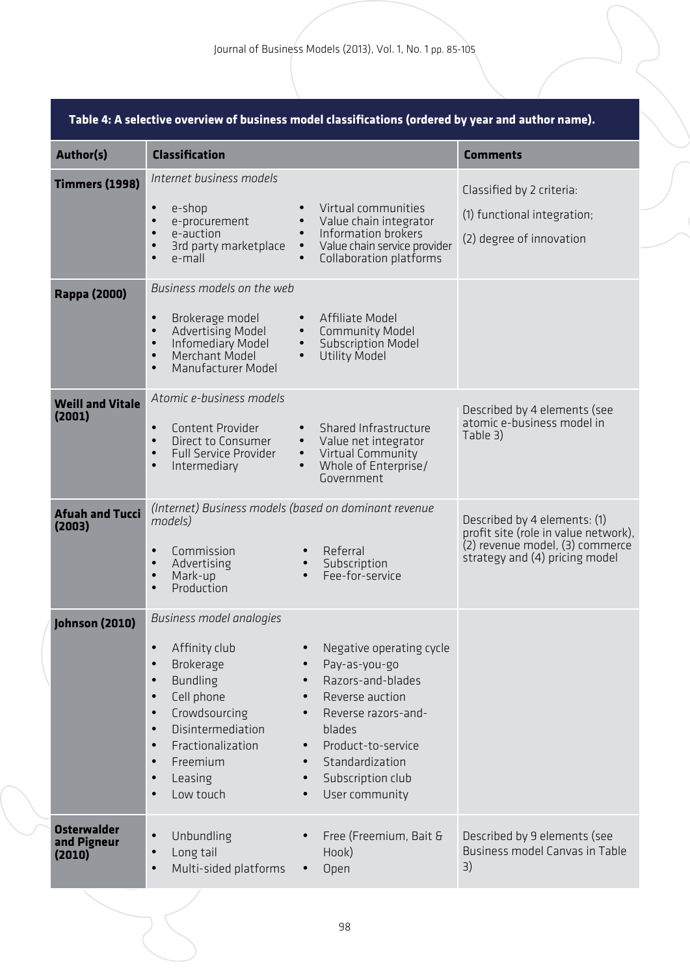| Author(s)                                   | <b>Classification</b>                                                                                                                                                                                                                                                                                                    |                                                                                                                                                                                                                                           | <b>Comments</b>                                                                                                                           |
|---------------------------------------------|--------------------------------------------------------------------------------------------------------------------------------------------------------------------------------------------------------------------------------------------------------------------------------------------------------------------------|-------------------------------------------------------------------------------------------------------------------------------------------------------------------------------------------------------------------------------------------|-------------------------------------------------------------------------------------------------------------------------------------------|
| <b>Timmers (1998)</b>                       | Internet business models<br>e-shop<br>$\bullet$<br>e-procurement<br>$\bullet$<br>e-auction<br>3rd party marketplace<br>e-mall<br>$\bullet$                                                                                                                                                                               | Virtual communities<br>Value chain integrator<br>Information brokers<br>Value chain service provider<br>$\bullet$<br>Collaboration platforms                                                                                              | Classified by 2 criteria:<br>(1) functional integration;<br>(2) degree of innovation                                                      |
| <b>Rappa (2000)</b>                         | Business models on the web<br>Brokerage model<br>$\bullet$<br>Advertising Model<br>$\bullet$<br>Infomediary Model<br>$\bullet$<br>Merchant Model<br>$\bullet$<br>Manufacturer Model<br>$\bullet$                                                                                                                         | Affiliate Model<br>Community Model<br>$\bullet$<br><b>Subscription Model</b><br>$\bullet$<br><b>Utility Model</b><br>$\bullet$                                                                                                            |                                                                                                                                           |
| <b>Weill and Vitale</b><br>(2001)           | Atomic e-business models<br>Content Provider<br>$\bullet$<br>Direct to Consumer<br>$\bullet$<br><b>Full Service Provider</b><br>$\bullet$<br>Intermediary<br>$\bullet$                                                                                                                                                   | Shared Infrastructure<br>Value net integrator<br>Virtual Community<br>$\bullet$<br>Whole of Enterprise/<br>Government                                                                                                                     | Described by 4 elements (see<br>atomic e-business model in<br>Table 3)                                                                    |
| <b>Afuah and Tucci</b><br>(2003)            | (Internet) Business models (based on dominant revenue<br>models)<br>Commission<br>$\bullet$<br>Advertising<br>$\bullet$<br>Mark-up<br>$\bullet$<br>Production<br>$\bullet$                                                                                                                                               | Referral<br>Subscription<br>$\bullet$<br>Fee-for-service<br>$\bullet$                                                                                                                                                                     | Described by 4 elements: (1)<br>profit site (role in value network),<br>(2) revenue model, (3) commerce<br>strategy and (4) pricing model |
| Johnson (2010)                              | Business model analogies<br>Affinity club<br>$\bullet$<br>Brokerage<br>$\bullet$<br><b>Bundling</b><br>$\bullet$<br>Cell phone<br>$\bullet$<br>Crowdsourcing<br>$\bullet$<br>Disintermediation<br>$\bullet$<br>Fractionalization<br>$\bullet$<br>Freemium<br>$\bullet$<br>Leasing<br>$\bullet$<br>Low touch<br>$\bullet$ | Negative operating cycle<br>Pay-as-you-go<br>Razors-and-blades<br>Reverse auction<br>Reverse razors-and-<br>$\bullet$<br>blades<br>Product-to-service<br>Standardization<br>Subscription club<br>$\bullet$<br>User community<br>$\bullet$ |                                                                                                                                           |
| <b>Osterwalder</b><br>and Pigneur<br>(2010) | $\bullet$<br>Unbundling<br>Long tail<br>$\bullet$<br>Multi-sided platforms<br>$\bullet$                                                                                                                                                                                                                                  | Free (Freemium, Bait &<br>Hook)<br>Open<br>$\bullet$                                                                                                                                                                                      | Described by 9 elements (see<br>Business model Canvas in Table<br>3)                                                                      |

### **Table 4: A selective overview of business model classifications (ordered by year and author name).**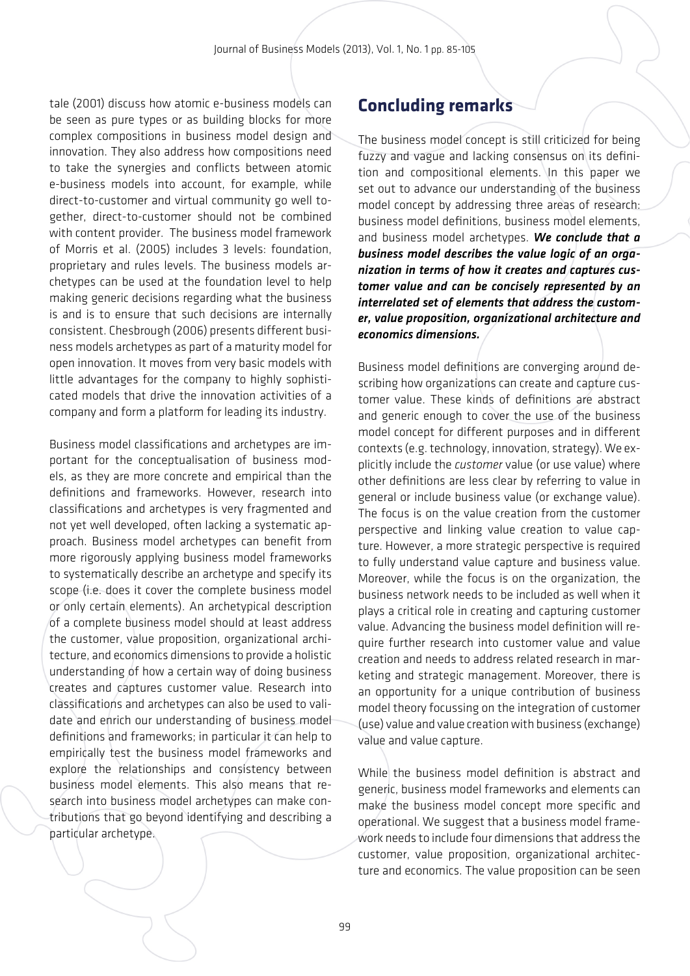tale (2001) discuss how atomic e-business models can be seen as pure types or as building blocks for more complex compositions in business model design and innovation. They also address how compositions need to take the synergies and conflicts between atomic e-business models into account, for example, while direct-to-customer and virtual community go well together, direct-to-customer should not be combined with content provider. The business model framework of Morris et al. (2005) includes 3 levels: foundation, proprietary and rules levels. The business models archetypes can be used at the foundation level to help making generic decisions regarding what the business is and is to ensure that such decisions are internally consistent. Chesbrough (2006) presents different business models archetypes as part of a maturity model for open innovation. It moves from very basic models with little advantages for the company to highly sophisticated models that drive the innovation activities of a company and form a platform for leading its industry.

Business model classifications and archetypes are important for the conceptualisation of business models, as they are more concrete and empirical than the definitions and frameworks. However, research into classifications and archetypes is very fragmented and not yet well developed, often lacking a systematic approach. Business model archetypes can benefit from more rigorously applying business model frameworks to systematically describe an archetype and specify its scope (i.e. does it cover the complete business model or only certain elements). An archetypical description of a complete business model should at least address the customer, value proposition, organizational architecture, and economics dimensions to provide a holistic understanding of how a certain way of doing business creates and captures customer value. Research into classifications and archetypes can also be used to validate and enrich our understanding of business model definitions and frameworks; in particular it can help to empirically test the business model frameworks and explore the relationships and consistency between business model elements. This also means that research into business model archetypes can make contributions that go beyond identifying and describing a particular archetype.

### **Concluding remarks**

The business model concept is still criticized for being fuzzy and vague and lacking consensus on its definition and compositional elements. In this paper we set out to advance our understanding of the business model concept by addressing three areas of research: business model definitions, business model elements, and business model archetypes. *We conclude that a business model describes the value logic of an organization in terms of how it creates and captures customer value and can be concisely represented by an interrelated set of elements that address the customer, value proposition, organizational architecture and economics dimensions.*

Business model definitions are converging around describing how organizations can create and capture customer value. These kinds of definitions are abstract and generic enough to cover the use of the business model concept for different purposes and in different contexts (e.g. technology, innovation, strategy). We explicitly include the *customer* value (or use value) where other definitions are less clear by referring to value in general or include business value (or exchange value). The focus is on the value creation from the customer perspective and linking value creation to value capture. However, a more strategic perspective is required to fully understand value capture and business value. Moreover, while the focus is on the organization, the business network needs to be included as well when it plays a critical role in creating and capturing customer value. Advancing the business model definition will require further research into customer value and value creation and needs to address related research in marketing and strategic management. Moreover, there is an opportunity for a unique contribution of business model theory focussing on the integration of customer (use) value and value creation with business (exchange) value and value capture.

While the business model definition is abstract and generic, business model frameworks and elements can make the business model concept more specific and operational. We suggest that a business model framework needs to include four dimensions that address the customer, value proposition, organizational architecture and economics. The value proposition can be seen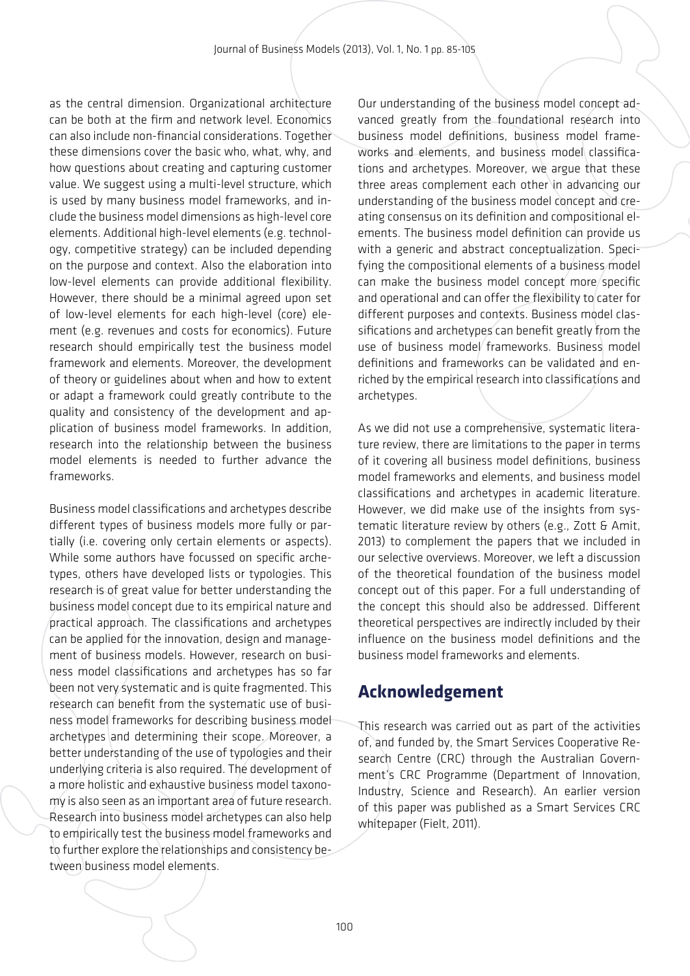as the central dimension. Organizational architecture can be both at the firm and network level. Economics can also include non-financial considerations. Together these dimensions cover the basic who, what, why, and how questions about creating and capturing customer value. We suggest using a multi-level structure, which is used by many business model frameworks, and include the business model dimensions as high-level core elements. Additional high-level elements (e.g. technology, competitive strategy) can be included depending on the purpose and context. Also the elaboration into low-level elements can provide additional flexibility. However, there should be a minimal agreed upon set of low-level elements for each high-level (core) element (e.g. revenues and costs for economics). Future research should empirically test the business model framework and elements. Moreover, the development of theory or guidelines about when and how to extent or adapt a framework could greatly contribute to the quality and consistency of the development and application of business model frameworks. In addition, research into the relationship between the business model elements is needed to further advance the frameworks.

Business model classifications and archetypes describe different types of business models more fully or partially (i.e. covering only certain elements or aspects). While some authors have focussed on specific archetypes, others have developed lists or typologies. This research is of great value for better understanding the business model concept due to its empirical nature and practical approach. The classifications and archetypes can be applied for the innovation, design and management of business models. However, research on business model classifications and archetypes has so far been not very systematic and is quite fragmented. This research can benefit from the systematic use of business model frameworks for describing business model archetypes and determining their scope. Moreover, a better understanding of the use of typologies and their underlying criteria is also required. The development of a more holistic and exhaustive business model taxonomy is also seen as an important area of future research. Research into business model archetypes can also help to empirically test the business model frameworks and to further explore the relationships and consistency between business model elements.

Our understanding of the business model concept advanced greatly from the foundational research into business model definitions, business model frameworks and elements, and business model classifications and archetypes. Moreover, we argue that these three areas complement each other in advancing our understanding of the business model concept and creating consensus on its definition and compositional elements. The business model definition can provide us with a generic and abstract conceptualization. Specifying the compositional elements of a business model can make the business model concept more specific and operational and can offer the flexibility to cater for different purposes and contexts. Business model classifications and archetypes can benefit greatly from the use of business model frameworks. Business model definitions and frameworks can be validated and enriched by the empirical research into classifications and archetypes.

As we did not use a comprehensive, systematic literature review, there are limitations to the paper in terms of it covering all business model definitions, business model frameworks and elements, and business model classifications and archetypes in academic literature. However, we did make use of the insights from systematic literature review by others (e.g., Zott & Amit, 2013) to complement the papers that we included in our selective overviews. Moreover, we left a discussion of the theoretical foundation of the business model concept out of this paper. For a full understanding of the concept this should also be addressed. Different theoretical perspectives are indirectly included by their influence on the business model definitions and the business model frameworks and elements.

### **Acknowledgement**

This research was carried out as part of the activities of, and funded by, the Smart Services Cooperative Research Centre (CRC) through the Australian Government's CRC Programme (Department of Innovation, Industry, Science and Research). An earlier version of this paper was published as a Smart Services CRC whitepaper (Fielt, 2011).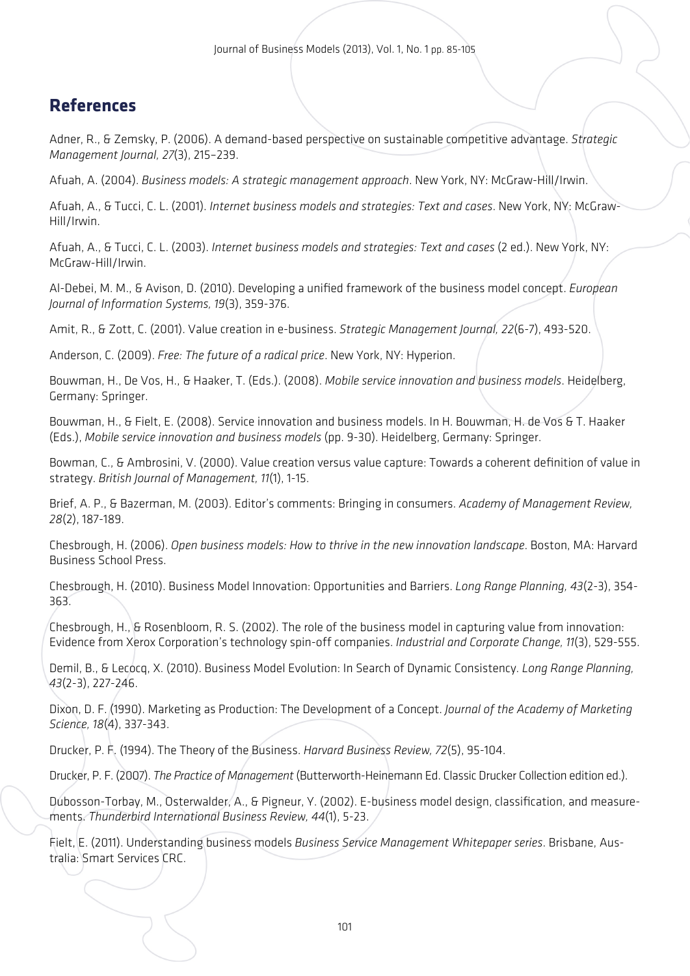## **References**

Adner, R., & Zemsky, P. (2006). A demand-based perspective on sustainable competitive advantage. *Strategic Management Journal, 27*(3), 215–239.

Afuah, A. (2004). *Business models: A strategic management approach*. New York, NY: McGraw-Hill/Irwin.

Afuah, A., & Tucci, C. L. (2001). *Internet business models and strategies: Text and cases*. New York, NY: McGraw-Hill/Irwin.

Afuah, A., & Tucci, C. L. (2003). *Internet business models and strategies: Text and cases* (2 ed.). New York, NY: McGraw-Hill/Irwin.

Al-Debei, M. M., & Avison, D. (2010). Developing a unified framework of the business model concept. *European Journal of Information Systems, 19*(3), 359-376.

Amit, R., & Zott, C. (2001). Value creation in e-business. *Strategic Management Journal, 22*(6-7), 493-520.

Anderson, C. (2009). *Free: The future of a radical price*. New York, NY: Hyperion.

Bouwman, H., De Vos, H., & Haaker, T. (Eds.). (2008). *Mobile service innovation and business models*. Heidelberg, Germany: Springer.

Bouwman, H., & Fielt, E. (2008). Service innovation and business models. In H. Bouwman, H. de Vos & T. Haaker (Eds.), *Mobile service innovation and business models* (pp. 9-30). Heidelberg, Germany: Springer.

Bowman, C., & Ambrosini, V. (2000). Value creation versus value capture: Towards a coherent definition of value in strategy. *British Journal of Management, 11*(1), 1-15.

Brief, A. P., & Bazerman, M. (2003). Editor's comments: Bringing in consumers. *Academy of Management Review, 28*(2), 187-189.

Chesbrough, H. (2006). *Open business models: How to thrive in the new innovation landscape*. Boston, MA: Harvard Business School Press.

Chesbrough, H. (2010). Business Model Innovation: Opportunities and Barriers. *Long Range Planning, 43*(2-3), 354- 363.

Chesbrough, H., & Rosenbloom, R. S. (2002). The role of the business model in capturing value from innovation: Evidence from Xerox Corporation's technology spin-off companies. *Industrial and Corporate Change, 11*(3), 529-555.

Demil, B., & Lecocq, X. (2010). Business Model Evolution: In Search of Dynamic Consistency. *Long Range Planning, 43*(2-3), 227-246.

Dixon, D. F. (1990). Marketing as Production: The Development of a Concept. *Journal of the Academy of Marketing Science, 18*(4), 337-343.

Drucker, P. F. (1994). The Theory of the Business. *Harvard Business Review, 72*(5), 95-104.

Drucker, P. F. (2007). *The Practice of Management* (Butterworth-Heinemann Ed. Classic Drucker Collection edition ed.).

Dubosson-Torbay, M., Osterwalder, A., & Pigneur, Y. (2002). E-business model design, classification, and measurements. *Thunderbird International Business Review, 44*(1), 5-23.

Fielt, E. (2011). Understanding business models *Business Service Management Whitepaper series*. Brisbane, Australia: Smart Services CRC.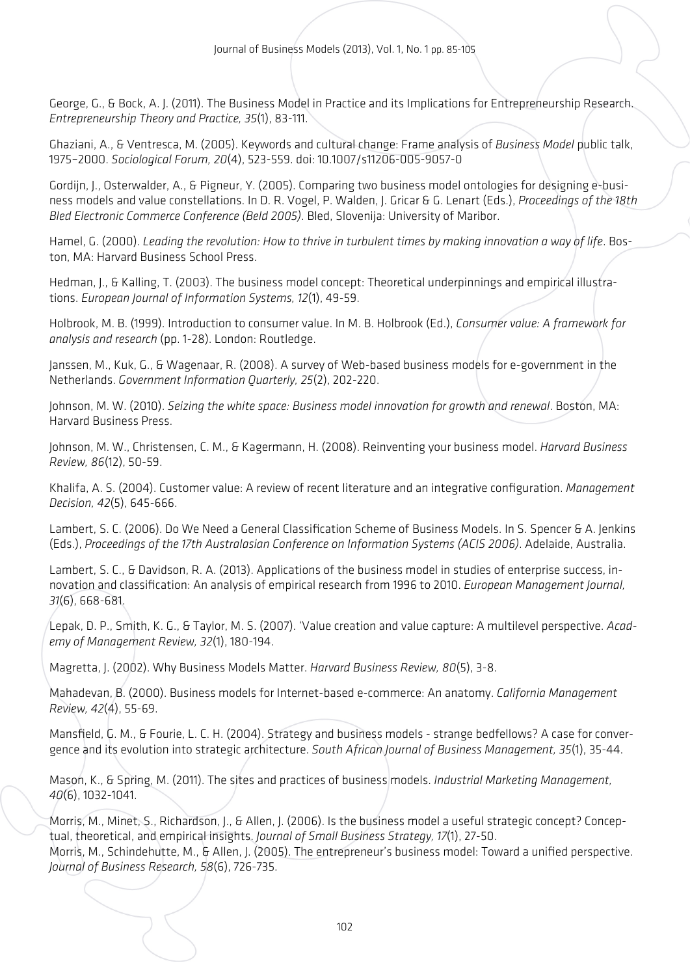George, G., & Bock, A. J. (2011). The Business Model in Practice and its Implications for Entrepreneurship Research. *Entrepreneurship Theory and Practice, 35*(1), 83-111.

Ghaziani, A., & Ventresca, M. (2005). Keywords and cultural change: Frame analysis of *Business Model* public talk, 1975–2000. *Sociological Forum, 20*(4), 523-559. doi: 10.1007/s11206-005-9057-0

Gordijn, J., Osterwalder, A., & Pigneur, Y. (2005). Comparing two business model ontologies for designing e-business models and value constellations. In D. R. Vogel, P. Walden, J. Gricar & G. Lenart (Eds.), *Proceedings of the 18th Bled Electronic Commerce Conference (Beld 2005)*. Bled, Slovenija: University of Maribor.

Hamel, G. (2000). *Leading the revolution: How to thrive in turbulent times by making innovation a way of life*. Boston, MA: Harvard Business School Press.

Hedman, J., & Kalling, T. (2003). The business model concept: Theoretical underpinnings and empirical illustrations. *European Journal of Information Systems, 12*(1), 49-59.

Holbrook, M. B. (1999). Introduction to consumer value. In M. B. Holbrook (Ed.), *Consumer value: A framework for analysis and research* (pp. 1-28). London: Routledge.

Janssen, M., Kuk, G., & Wagenaar, R. (2008). A survey of Web-based business models for e-government in the Netherlands. *Government Information Quarterly, 25*(2), 202-220.

Johnson, M. W. (2010). *Seizing the white space: Business model innovation for growth and renewal*. Boston, MA: Harvard Business Press.

Johnson, M. W., Christensen, C. M., & Kagermann, H. (2008). Reinventing your business model. *Harvard Business Review, 86*(12), 50-59.

Khalifa, A. S. (2004). Customer value: A review of recent literature and an integrative configuration. *Management Decision, 42*(5), 645-666.

Lambert, S. C. (2006). Do We Need a General Classification Scheme of Business Models. In S. Spencer & A. Jenkins (Eds.), *Proceedings of the 17th Australasian Conference on Information Systems (ACIS 2006)*. Adelaide, Australia.

Lambert, S. C., & Davidson, R. A. (2013). Applications of the business model in studies of enterprise success, innovation and classification: An analysis of empirical research from 1996 to 2010. *European Management Journal, 31*(6), 668-681.

Lepak, D. P., Smith, K. G., & Taylor, M. S. (2007). 'Value creation and value capture: A multilevel perspective. *Academy of Management Review, 32*(1), 180-194.

Magretta, J. (2002). Why Business Models Matter. *Harvard Business Review, 80*(5), 3-8.

Mahadevan, B. (2000). Business models for Internet-based e-commerce: An anatomy. *California Management Review, 42*(4), 55-69.

Mansfield, G. M., & Fourie, L. C. H. (2004). Strategy and business models - strange bedfellows? A case for convergence and its evolution into strategic architecture. *South African Journal of Business Management, 35*(1), 35-44.

Mason, K., & Spring, M. (2011). The sites and practices of business models. *Industrial Marketing Management, 40*(6), 1032-1041.

Morris, M., Minet, S., Richardson, J., & Allen, J. (2006). Is the business model a useful strategic concept? Conceptual, theoretical, and empirical insights. *Journal of Small Business Strategy, 17*(1), 27-50. Morris, M., Schindehutte, M., & Allen, J. (2005). The entrepreneur's business model: Toward a unified perspective. *Journal of Business Research, 58*(6), 726-735.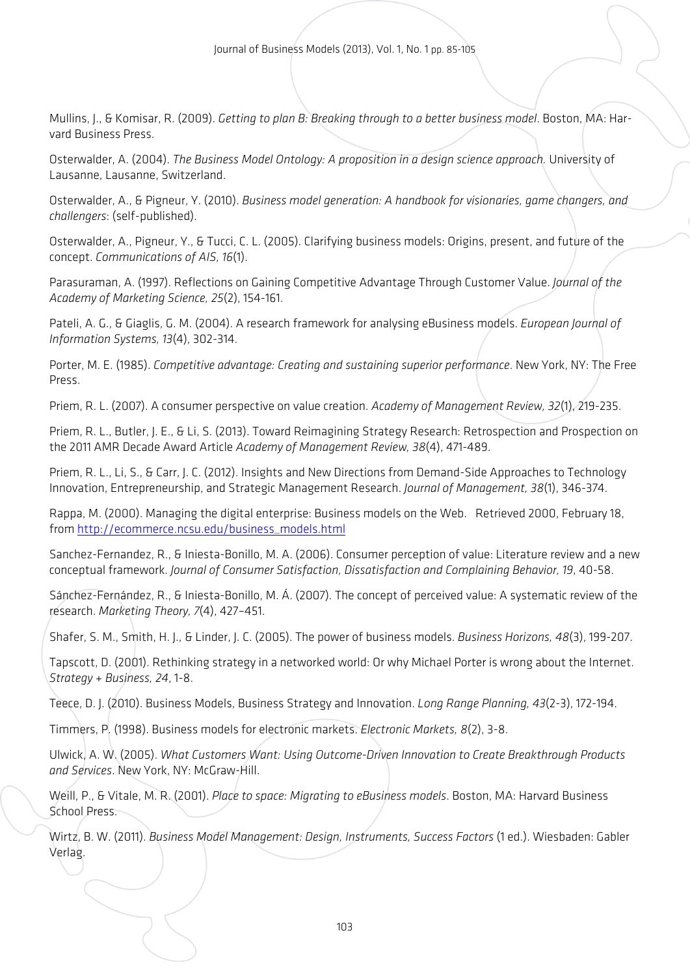Mullins, J., & Komisar, R. (2009). *Getting to plan B: Breaking through to a better business model*. Boston, MA: Harvard Business Press.

Osterwalder, A. (2004). *The Business Model Ontology: A proposition in a design science approach.* University of Lausanne, Lausanne, Switzerland.

Osterwalder, A., & Pigneur, Y. (2010). *Business model generation: A handbook for visionaries, game changers, and challengers*: (self-published).

Osterwalder, A., Pigneur, Y., & Tucci, C. L. (2005). Clarifying business models: Origins, present, and future of the concept. *Communications of AIS, 16*(1).

Parasuraman, A. (1997). Reflections on Gaining Competitive Advantage Through Customer Value. *Journal of the Academy of Marketing Science, 25*(2), 154-161.

Pateli, A. G., & Giaglis, G. M. (2004). A research framework for analysing eBusiness models. *European Journal of Information Systems, 13*(4), 302-314.

Porter, M. E. (1985). *Competitive advantage: Creating and sustaining superior performance*. New York, NY: The Free Press.

Priem, R. L. (2007). A consumer perspective on value creation. *Academy of Management Review, 32*(1), 219-235.

Priem, R. L., Butler, J. E., & Li, S. (2013). Toward Reimagining Strategy Research: Retrospection and Prospection on the 2011 AMR Decade Award Article *Academy of Management Review, 38*(4), 471-489.

Priem, R. L., Li, S., & Carr, J. C. (2012). Insights and New Directions from Demand-Side Approaches to Technology Innovation, Entrepreneurship, and Strategic Management Research. *Journal of Management, 38*(1), 346-374.

Rappa, M. (2000). Managing the digital enterprise: Business models on the Web. Retrieved 2000, February 18, from [http://ecommerce.ncsu.edu/business\\_models.html](http://ecommerce.ncsu.edu/business_models.html)

Sanchez-Fernandez, R., & Iniesta-Bonillo, M. A. (2006). Consumer perception of value: Literature review and a new conceptual framework. *Journal of Consumer Satisfaction, Dissatisfaction and Complaining Behavior, 19*, 40-58.

Sánchez-Fernández, R., & Iniesta-Bonillo, M. Á. (2007). The concept of perceived value: A systematic review of the research. *Marketing Theory, 7*(4), 427–451.

Shafer, S. M., Smith, H. J., & Linder, J. C. (2005). The power of business models. *Business Horizons, 48*(3), 199-207.

Tapscott, D. (2001). Rethinking strategy in a networked world: Or why Michael Porter is wrong about the Internet. *Strategy + Business, 24*, 1-8.

Teece, D. J. (2010). Business Models, Business Strategy and Innovation. *Long Range Planning, 43*(2-3), 172-194.

Timmers, P. (1998). Business models for electronic markets. *Electronic Markets, 8*(2), 3-8.

Ulwick, A. W. (2005). *What Customers Want: Using Outcome-Driven Innovation to Create Breakthrough Products and Services*. New York, NY: McGraw-Hill.

Weill, P., & Vitale, M. R. (2001). *Place to space: Migrating to eBusiness models*. Boston, MA: Harvard Business School Press.

Wirtz, B. W. (2011). *Business Model Management: Design, Instruments, Success Factors* (1 ed.). Wiesbaden: Gabler Verlag.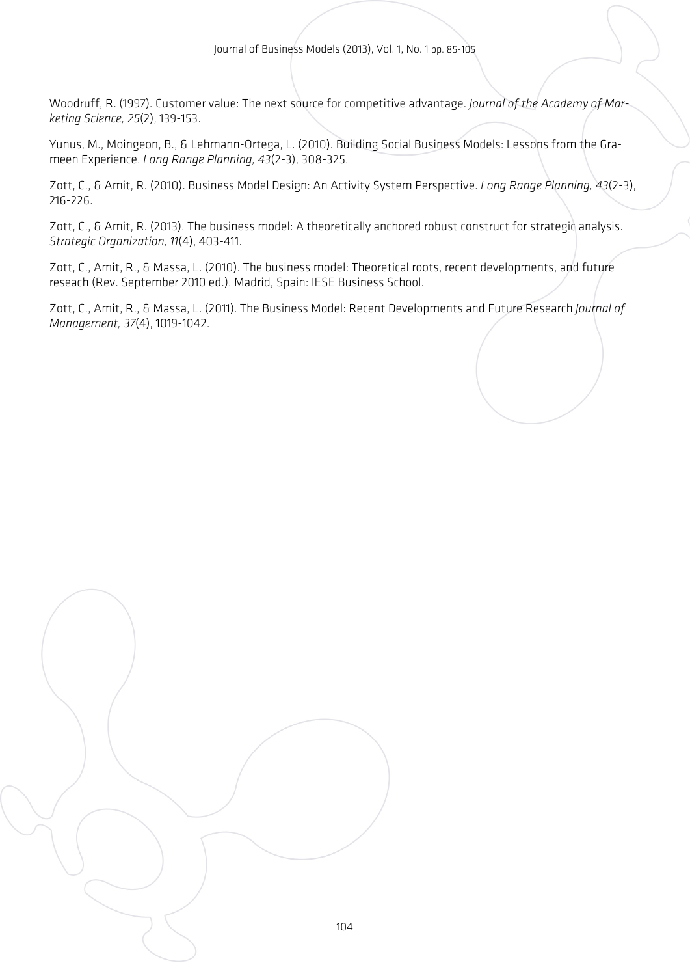Woodruff, R. (1997). Customer value: The next source for competitive advantage. *Journal of the Academy of Marketing Science, 25*(2), 139-153.

Yunus, M., Moingeon, B., & Lehmann-Ortega, L. (2010). Building Social Business Models: Lessons from the Grameen Experience. *Long Range Planning, 43*(2-3), 308-325.

Zott, C., & Amit, R. (2010). Business Model Design: An Activity System Perspective. *Long Range Planning, 43*(2-3), 216-226.

Zott, C., & Amit, R. (2013). The business model: A theoretically anchored robust construct for strategic analysis. *Strategic Organization, 11*(4), 403-411.

Zott, C., Amit, R., & Massa, L. (2010). The business model: Theoretical roots, recent developments, and future reseach (Rev. September 2010 ed.). Madrid, Spain: IESE Business School.

Zott, C., Amit, R., & Massa, L. (2011). The Business Model: Recent Developments and Future Research *Journal of Management, 37*(4), 1019-1042.